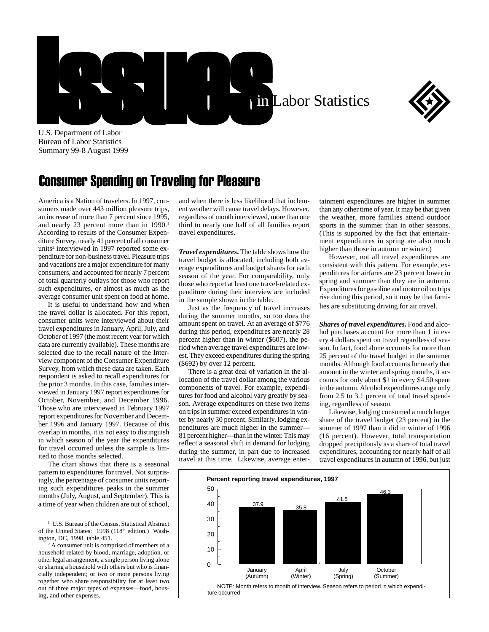



U.S. Department of Labor Bureau of Labor Statistics Summary 99-8 August 1999

## Consumer Spending on Traveling for Pleasure

America is a Nation of travelers. In 1997, consumers made over 443 million pleasure trips, an increase of more than 7 percent since 1995, and nearly 23 percent more than in 1990.<sup>1</sup> According to results of the Consumer Expenditure Survey, nearly 41 percent of all consumer units<sup>2</sup> interviewed in 1997 reported some expenditure for non-business travel. Pleasure trips and vacations are a major expenditure for many consumers, and accounted for nearly 7 percent of total quarterly outlays for those who report such expenditures, or almost as much as the average consumer unit spent on food at home.

It is useful to understand how and when the travel dollar is allocated. For this report, consumer units were interviewed about their travel expenditures in January, April, July, and October of 1997 (the most recent year for which data are currently available). These months are selected due to the recall nature of the Interview component of the Consumer Expenditure Survey, from which these data are taken. Each respondent is asked to recall expenditures for the prior 3 months. In this case, families interviewed in January 1997 report expenditures for October, November, and December 1996. Those who are interviewed in February 1997 report expenditures for November and December 1996 and January 1997. Because of this overlap in months, it is not easy to distinguish in which season of the year the expenditures for travel occurred unless the sample is limited to those months selected.

The chart shows that there is a seasonal pattern to expenditures for travel. Not surprisingly, the percentage of consumer units reporting such expenditures peaks in the summer months (July, August, and September). This is a time of year when children are out of school,

<sup>1</sup> U.S. Bureau of the Census, Statistical Abstract of the United States: 1998 (118<sup>th</sup> edition.) Washington, DC, 1998, table 451.

2 A consumer unit is comprised of members of a household related by blood, marriage, adoption, or other legal arrangement; a single person living alone or sharing a household with others but who is financially independent; or two or more persons living together who share responsibility for at least two out of three major types of expenses—food, housing, and other expenses.

and when there is less likelihood that inclement weather will cause travel delays. However, regardless of month interviewed, more than one third to nearly one half of all families report travel expenditures.

*Travel expenditures***.** The table shows how the travel budget is allocated, including both average expenditures and budget shares for each season of the year. For comparability, only those who report at least one travel-related expenditure during their interview are included in the sample shown in the table.

Just as the frequency of travel increases during the summer months, so too does the amount spent on travel. At an average of \$776 during this period, expenditures are nearly 28 percent higher than in winter (\$607), the period when average travel expenditures are lowest. They exceed expenditures during the spring (\$692) by over 12 percent.

There is a great deal of variation in the allocation of the travel dollar among the various components of travel. For example, expenditures for food and alcohol vary greatly by season. Average expenditures on these two items on trips in summer exceed expenditures in winter by nearly 30 percent. Similarly, lodging expenditures are much higher in the summer— 81 percent higher—than in the winter. This may reflect a seasonal shift in demand for lodging during the summer, in part due to increased travel at this time. Likewise, average entertainment expenditures are higher in summer than any other time of year. It may be that given the weather, more families attend outdoor sports in the summer than in other seasons. (This is supported by the fact that entertainment expenditures in spring are also much higher than those in autumn or winter.)

However, not all travel expenditures are consistent with this pattern. For example, expenditures for airfares are 23 percent lower in spring and summer than they are in autumn. Expenditures for gasoline and motor oil on trips rise during this period, so it may be that families are substituting driving for air travel.

*Shares of travel expenditures***.** Food and alcohol purchases account for more than 1 in every 4 dollars spent on travel regardless of season. In fact, food alone accounts for more than 25 percent of the travel budget in the summer months. Although food accounts for nearly that amount in the winter and spring months, it accounts for only about \$1 in every \$4.50 spent in the autumn. Alcohol expenditures range only from 2.5 to 3.1 percent of total travel spending, regardless of season.

Likewise, lodging consumed a much larger share of the travel budget (23 percent) in the summer of 1997 than it did in winter of 1996 (16 percent). However, total transportation dropped precipitously as a share of total travel expenditures, accounting for nearly half of all travel expenditures in autumn of 1996, but just